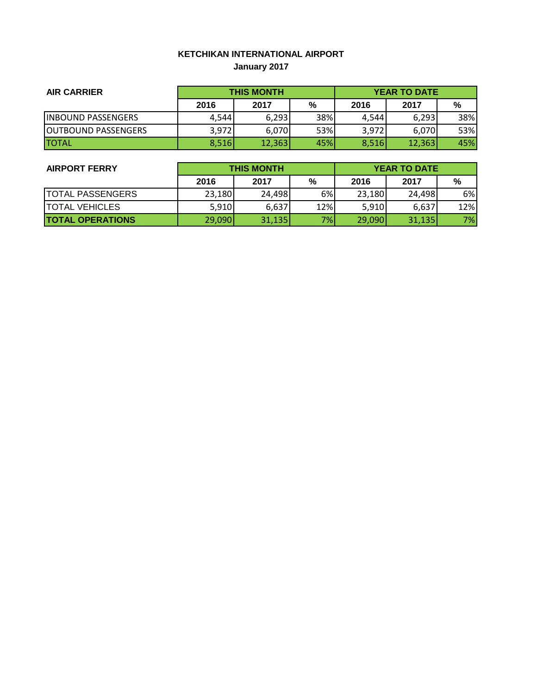# **KETCHIKAN INTERNATIONAL AIRPORT January 2017**

| <b>AIR CARRIER</b>          | <b>THIS MONTH</b> |        |     | <b>YEAR TO DATE</b> |        |     |
|-----------------------------|-------------------|--------|-----|---------------------|--------|-----|
|                             | 2016              | 2017   | %   | 2016                | 2017   | %   |
| <b>INBOUND PASSENGERS</b>   | 4,544             | 6,293  | 38% | 4,544               | 6,293  | 38% |
| <b>JOUTBOUND PASSENGERS</b> | 3,972             | 6,070  | 53% | 3,972               | 6.070  | 53% |
| <b>ITOTAL</b>               | 8,516             | 12,363 | 45% | 8,516               | 12,363 | 45% |

| <b>AIRPORT FERRY</b>    | <b>THIS MONTH</b> |        |       | <b>YEAR TO DATE</b> |        |     |  |
|-------------------------|-------------------|--------|-------|---------------------|--------|-----|--|
|                         | 2016              | 2017   | %     | 2016                | 2017   | %   |  |
| <b>TOTAL PASSENGERS</b> | 23,180            | 24,498 | 6%    | 23,180              | 24,498 | 6%  |  |
| <b>TOTAL VEHICLES</b>   | 5,910             | 6,637  | 12%   | 5,910               | 6,637  | 12% |  |
| <b>TOTAL OPERATIONS</b> | 29,090            | 31,135 | $7\%$ | 29,090              | 31,135 | 7%  |  |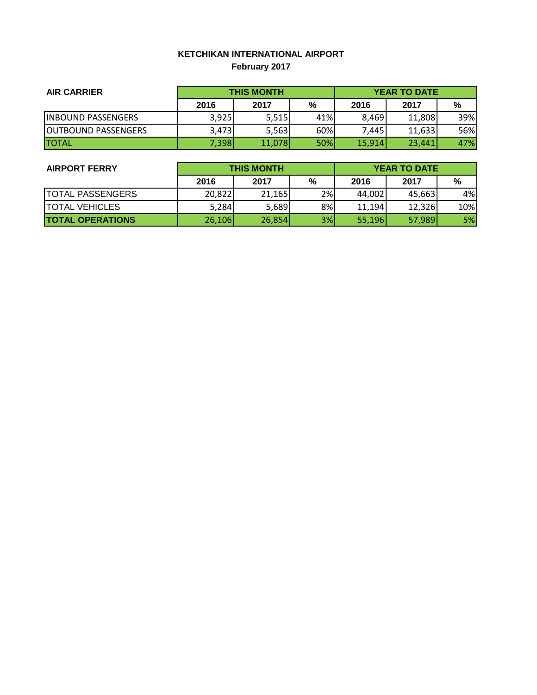# **KETCHIKAN INTERNATIONAL AIRPORT February 2017**

| <b>AIR CARRIER</b>          | <b>THIS MONTH</b> |        |     | <b>YEAR TO DATE</b> |        |     |  |
|-----------------------------|-------------------|--------|-----|---------------------|--------|-----|--|
|                             | 2016              | 2017   | %   | 2016                | 2017   | %   |  |
| <b>INBOUND PASSENGERS</b>   | 3,925             | 5,515  | 41% | 8.469               | 11,808 | 39% |  |
| <b>JOUTBOUND PASSENGERS</b> | 3,473             | 5,563  | 60% | 7.445I              | 11,633 | 56% |  |
| <b>ITOTAL</b>               | 7,398             | 11,078 | 50% | 15,914              | 23.441 | 47% |  |

| <b>AIRPORT FERRY</b>    | <b>THIS MONTH</b> |        |    | <b>YEAR TO DATE</b> |        |           |  |
|-------------------------|-------------------|--------|----|---------------------|--------|-----------|--|
|                         | 2016              | 2017   | %  | 2016                | 2017   | %         |  |
| <b>TOTAL PASSENGERS</b> | 20,822            | 21,165 | 2% | 44,002              | 45,663 | 4%I       |  |
| <b>TOTAL VEHICLES</b>   | 5,284             | 5,689  | 8% | 11.194              | 12,326 | 10%       |  |
| <b>TOTAL OPERATIONS</b> | 26,106            | 26,854 | 3% | 55,196              | 57,989 | <b>5%</b> |  |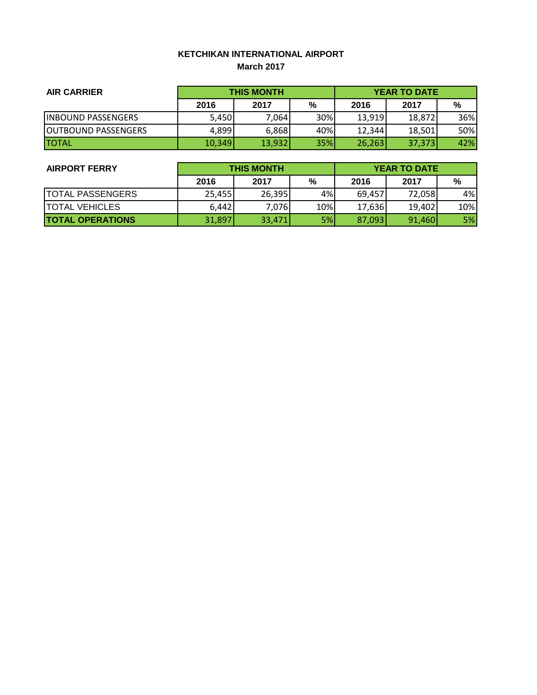### **KETCHIKAN INTERNATIONAL AIRPORT March 2017**

| <b>AIR CARRIER</b>          | <b>THIS MONTH</b> |        |            | <b>YEAR TO DATE</b> |        |     |
|-----------------------------|-------------------|--------|------------|---------------------|--------|-----|
|                             | 2016              | 2017   | %          | 2016                | 2017   | %   |
| <b>INBOUND PASSENGERS</b>   | 5,450             | 7,064  | 30%        | 13,919              | 18.872 | 36% |
| <b>JOUTBOUND PASSENGERS</b> | 4,899             | 6,868  | 40%        | 12,344              | 18,501 | 50% |
| <b>ITOTAL</b>               | 10,349            | 13,932 | <b>35%</b> | 26,263              | 37,373 | 42% |

| <b>AIRPORT FERRY</b>    | <b>THIS MONTH</b> |        |     | <b>YEAR TO DATE</b> |        |     |
|-------------------------|-------------------|--------|-----|---------------------|--------|-----|
|                         | 2016              | 2017   | %   | 2016                | 2017   | %   |
| <b>TOTAL PASSENGERS</b> | 25,455            | 26,395 | 4%  | 69,457              | 72,058 | 4%I |
| <b>TOTAL VEHICLES</b>   | 6,442             | 7,076  | 10% | 17,636              | 19,402 | 10% |
| <b>TOTAL OPERATIONS</b> | 31,897            | 33,471 | 5%  | 87,093              | 91,460 | 5%  |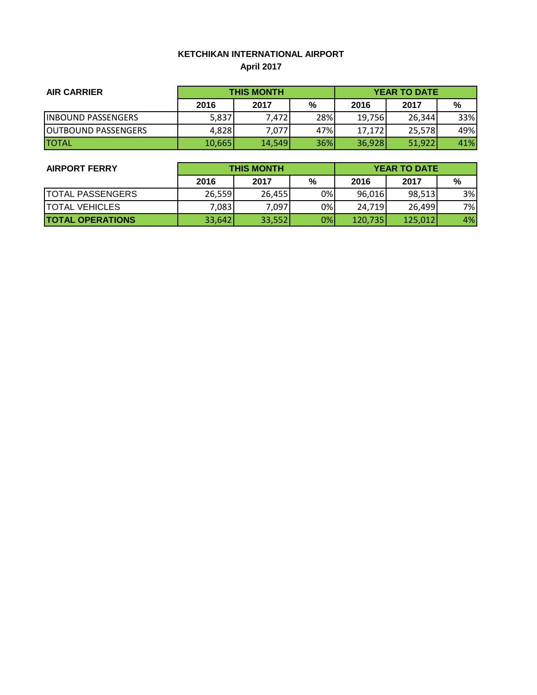### **KETCHIKAN INTERNATIONAL AIRPORT April 2017**

| <b>AIR CARRIER</b>          | <b>THIS MONTH</b> |        |     | <b>YEAR TO DATE</b> |        |     |  |
|-----------------------------|-------------------|--------|-----|---------------------|--------|-----|--|
|                             | 2016              | 2017   | %   | 2016                | 2017   | %   |  |
| <b>INBOUND PASSENGERS</b>   | 5,837             | 7,472  | 28% | 19,756              | 26,344 | 33% |  |
| <b>JOUTBOUND PASSENGERS</b> | 4,828             | 7,077  | 47% | 17,172              | 25.578 | 49% |  |
| <b>ITOTAL</b>               | 10,665            | 14,549 | 36% | 36,928              | 51,922 | 41% |  |

| <b>AIRPORT FERRY</b>    | <b>THIS MONTH</b> |        |    | <b>YEAR TO DATE</b> |         |     |  |
|-------------------------|-------------------|--------|----|---------------------|---------|-----|--|
|                         | 2016              | 2017   | %  | 2016                | 2017    | %   |  |
| <b>TOTAL PASSENGERS</b> | 26,559            | 26,455 | 0% | 96,016              | 98,513  | 3%  |  |
| <b>TOTAL VEHICLES</b>   | 7,083             | 7,097  | 0% | 24,719              | 26,499  | 7%l |  |
| <b>TOTAL OPERATIONS</b> | 33,642            | 33,552 | 0% | 120,735             | 125,012 | 4%  |  |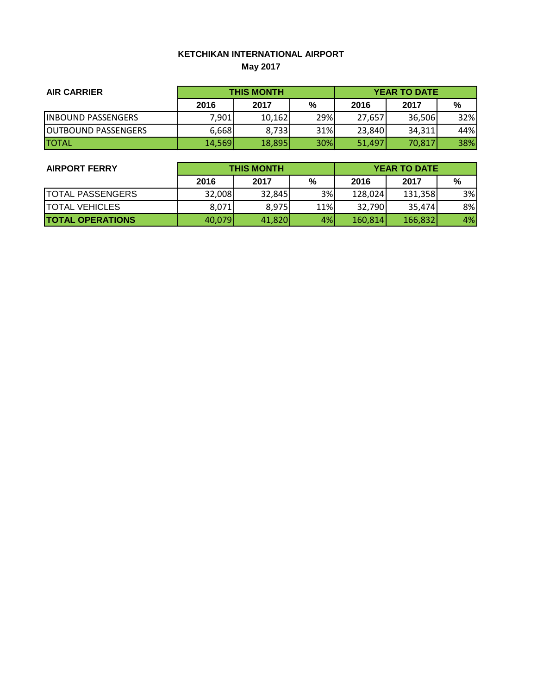# **KETCHIKAN INTERNATIONAL AIRPORT May 2017**

| <b>AIR CARRIER</b>          | <b>THIS MONTH</b> |        |            | <b>YEAR TO DATE</b> |        |     |
|-----------------------------|-------------------|--------|------------|---------------------|--------|-----|
|                             | 2016              | 2017   | %          | 2016                | 2017   | %   |
| <b>INBOUND PASSENGERS</b>   | 7,901             | 10,162 | 29%        | 27,657              | 36,506 | 32% |
| <b>JOUTBOUND PASSENGERS</b> | 6,668             | 8,733  | 31%        | 23,840              | 34,311 | 44% |
| <b>ITOTAL</b>               | 14,569            | 18,895 | <b>30%</b> | 51.497              | 70,817 | 38% |

| <b>AIRPORT FERRY</b>    | <b>THIS MONTH</b> |        |     | <b>YEAR TO DATE</b> |         |    |  |
|-------------------------|-------------------|--------|-----|---------------------|---------|----|--|
|                         | 2016              | 2017   | %   | 2016                | 2017    | %  |  |
| <b>TOTAL PASSENGERS</b> | 32,008            | 32,845 | 3%  | 128,024             | 131,358 | 3% |  |
| <b>TOTAL VEHICLES</b>   | 8,071             | 8,975  | 11% | 32,790              | 35.474  | 8% |  |
| <b>TOTAL OPERATIONS</b> | 40,079            | 41,820 | 4%  | 160,814             | 166,832 | 4% |  |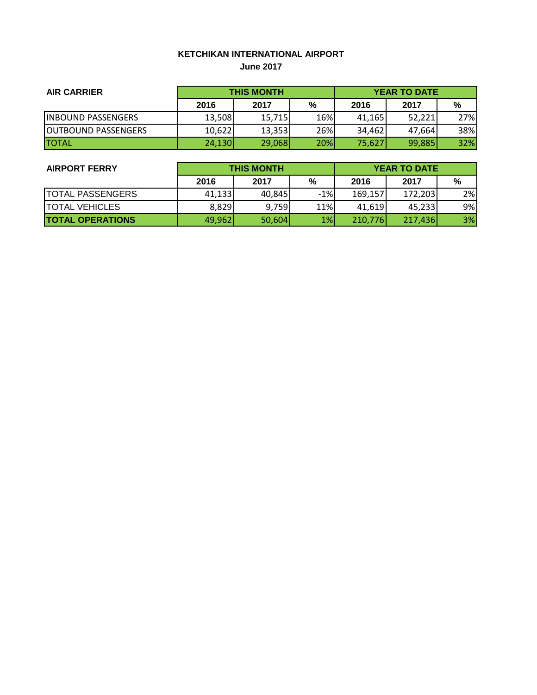#### **KETCHIKAN INTERNATIONAL AIRPORT June 2017**

| <b>AIR CARRIER</b>          | <b>THIS MONTH</b> |        |            | <b>YEAR TO DATE</b> |        |     |
|-----------------------------|-------------------|--------|------------|---------------------|--------|-----|
|                             | 2016              | 2017   | %          | 2016                | 2017   | %   |
| <b>INBOUND PASSENGERS</b>   | 13,508            | 15,715 | 16%        | 41,165              | 52.221 | 27% |
| <b>JOUTBOUND PASSENGERS</b> | 10,622            | 13,353 | 26%        | 34,462              | 47.664 | 38% |
| <b>ITOTAL</b>               | 24,130            | 29,068 | <b>20%</b> | 75,627              | 99,885 | 32% |

| <b>AIRPORT FERRY</b>    | <b>THIS MONTH</b> |        |       | <b>YEAR TO DATE</b> |         |    |  |
|-------------------------|-------------------|--------|-------|---------------------|---------|----|--|
|                         | 2016              | 2017   | %     | 2016                | 2017    | %  |  |
| <b>TOTAL PASSENGERS</b> | 41,133            | 40,845 | $-1%$ | 169,157             | 172,203 | 2% |  |
| <b>TOTAL VEHICLES</b>   | 8,829             | 9,759  | 11%   | 41,619              | 45,233  | 9% |  |
| <b>TOTAL OPERATIONS</b> | 49,962            | 50,604 | 1%    | 210,776             | 217,436 | 3% |  |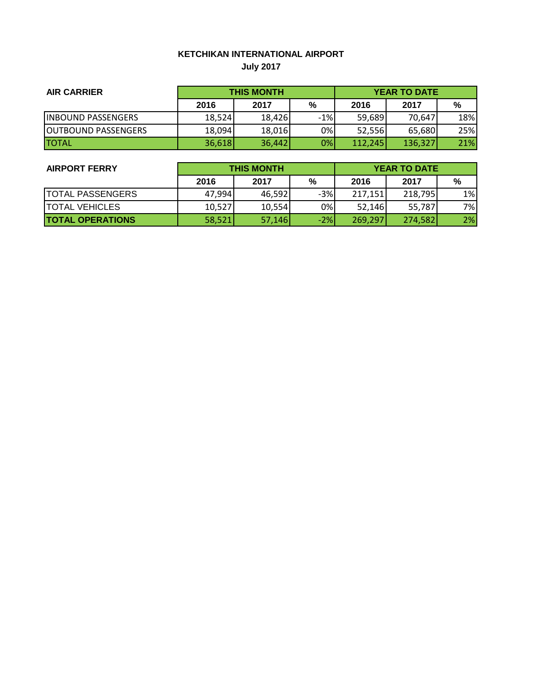### **KETCHIKAN INTERNATIONAL AIRPORT July 2017**

| <b>AIR CARRIER</b>          | <b>THIS MONTH</b> |        |       | <b>YEAR TO DATE</b> |         |     |  |
|-----------------------------|-------------------|--------|-------|---------------------|---------|-----|--|
|                             | 2016              | 2017   | %     | 2016                | 2017    | %   |  |
| <b>INBOUND PASSENGERS</b>   | 18,524            | 18,426 | $-1%$ | 59,689              | 70.647  | 18% |  |
| <b>JOUTBOUND PASSENGERS</b> | 18,094            | 18,016 | 0%    | 52,556              | 65,680  | 25% |  |
| <b>TOTAL</b>                | 36,618            | 36,442 | 0%    | 112,245             | 136,327 | 21% |  |

| <b>AIRPORT FERRY</b>    | <b>THIS MONTH</b> |        |       | <b>YEAR TO DATE</b> |         |       |  |
|-------------------------|-------------------|--------|-------|---------------------|---------|-------|--|
|                         | 2016              | 2017   | %     | 2016                | 2017    | %     |  |
| <b>TOTAL PASSENGERS</b> | 47,994            | 46,592 | $-3%$ | 217,151             | 218,795 | $1\%$ |  |
| <b>TOTAL VEHICLES</b>   | 10,527            | 10,554 | 0%    | 52,146              | 55,787) | 7%l   |  |
| <b>TOTAL OPERATIONS</b> | 58,521            | 57,146 | $-2%$ | 269,297             | 274,582 | 2%    |  |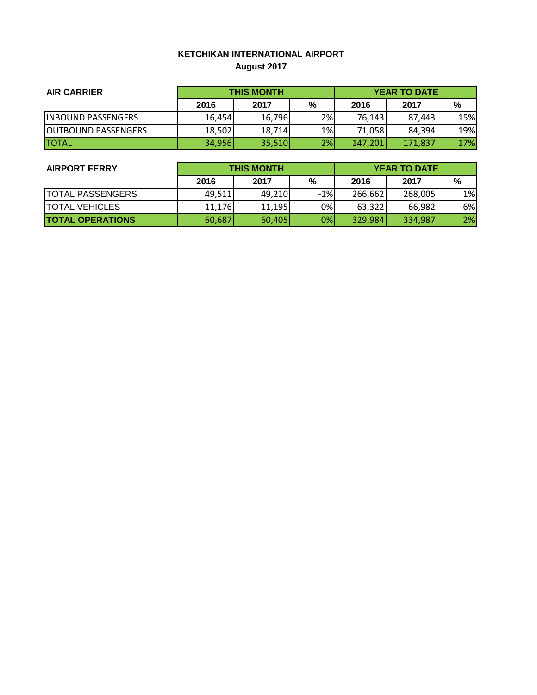# **KETCHIKAN INTERNATIONAL AIRPORT August 2017**

| <b>AIR CARRIER</b>          | <b>THIS MONTH</b> |        |    | <b>YEAR TO DATE</b> |         |     |  |
|-----------------------------|-------------------|--------|----|---------------------|---------|-----|--|
|                             | 2016              | 2017   | %  | 2016                | 2017    | %   |  |
| <b>INBOUND PASSENGERS</b>   | 16.454            | 16,796 | 2% | 76,143              | 87.443  | 15% |  |
| <b>JOUTBOUND PASSENGERS</b> | 18,502            | 18,714 | 1% | 71,058              | 84,394  | 19% |  |
| <b>ITOTAL</b>               | 34,956            | 35,510 | 2% | 147,201             | 171,837 | 17% |  |

| <b>AIRPORT FERRY</b>    | <b>THIS MONTH</b> |        |       | <b>YEAR TO DATE</b> |         |       |  |
|-------------------------|-------------------|--------|-------|---------------------|---------|-------|--|
|                         | 2016              | 2017   | %     | 2016                | 2017    | %     |  |
| <b>TOTAL PASSENGERS</b> | 49,511            | 49,210 | $-1%$ | 266,662             | 268,005 | $1\%$ |  |
| <b>TOTAL VEHICLES</b>   | 11.176            | 11,195 | 0%    | 63,322              | 66,982  | 6%    |  |
| <b>TOTAL OPERATIONS</b> | 60,687            | 60,405 | 0%    | 329,984             | 334,987 | 2%    |  |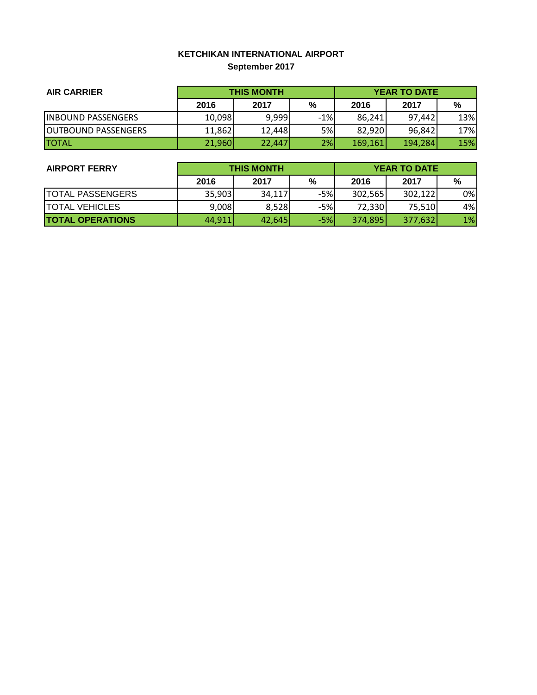# **KETCHIKAN INTERNATIONAL AIRPORT September 2017**

| <b>AIR CARRIER</b>          | <b>THIS MONTH</b> |        |       | <b>YEAR TO DATE</b> |         |     |
|-----------------------------|-------------------|--------|-------|---------------------|---------|-----|
|                             | 2016              | 2017   | %     | 2016                | 2017    | %   |
| <b>INBOUND PASSENGERS</b>   | 10,098            | 9,999  | $-1%$ | 86.241              | 97.442  | 13% |
| <b>JOUTBOUND PASSENGERS</b> | 11,862            | 12,448 | 5%    | 82,920              | 96,842  | 17% |
| <b>ITOTAL</b>               | 21,960            | 22.447 | 2%    | 169,161             | 194,284 | 15% |

| <b>AIRPORT FERRY</b>    | <b>THIS MONTH</b> |        |       | <b>YEAR TO DATE</b> |         |    |
|-------------------------|-------------------|--------|-------|---------------------|---------|----|
|                         | 2016              | 2017   | %     | 2016                | 2017    | %  |
| <b>TOTAL PASSENGERS</b> | 35,903            | 34,117 | $-5%$ | 302,565             | 302,122 | 0% |
| <b>TOTAL VEHICLES</b>   | 9,008             | 8,528  | $-5%$ | 72,330              | 75,510  | 4% |
| <b>TOTAL OPERATIONS</b> | 44,911            | 42,645 | $-5%$ | 374,895             | 377,632 | 1% |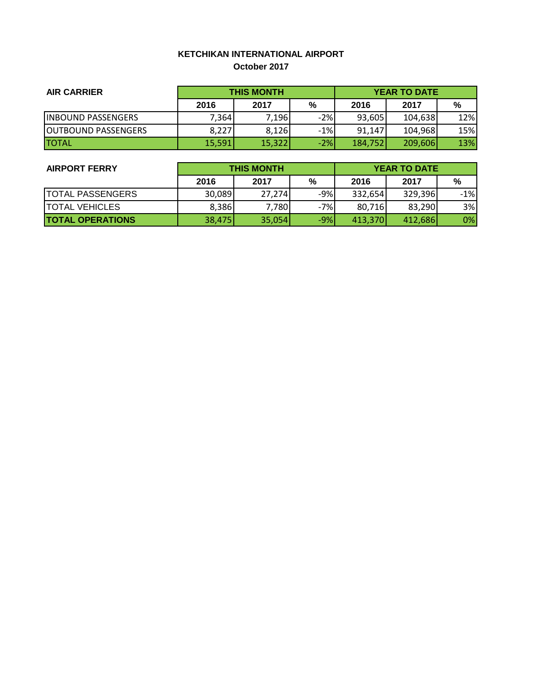### **KETCHIKAN INTERNATIONAL AIRPORT October 2017**

| <b>AIR CARRIER</b>          | <b>THIS MONTH</b> |        |       | <b>YEAR TO DATE</b> |         |     |  |
|-----------------------------|-------------------|--------|-------|---------------------|---------|-----|--|
|                             | 2016              | 2017   | %     | 2016                | 2017    | %   |  |
| <b>INBOUND PASSENGERS</b>   | 7,364             | 7,196  | $-2%$ | 93,605              | 104,638 | 12% |  |
| <b>JOUTBOUND PASSENGERS</b> | 8,227             | 8,126  | $-1%$ | 91.147              | 104.968 | 15% |  |
| <b>ITOTAL</b>               | 15,591            | 15,322 | $-2%$ | 184,752             | 209,606 | 13% |  |

| <b>AIRPORT FERRY</b>    | <b>THIS MONTH</b> |        |       | <b>YEAR TO DATE</b> |         |       |  |
|-------------------------|-------------------|--------|-------|---------------------|---------|-------|--|
|                         | 2016              | 2017   | %     | 2016                | 2017    | %     |  |
| <b>TOTAL PASSENGERS</b> | 30,089            | 27.274 | -9%   | 332,654             | 329,396 | $-1%$ |  |
| <b>TOTAL VEHICLES</b>   | 8,386             | 7,780  | $-7%$ | 80,716              | 83,290  | 3%    |  |
| <b>TOTAL OPERATIONS</b> | 38,475            | 35,054 | $-9%$ | 413,370             | 412,686 | 0%    |  |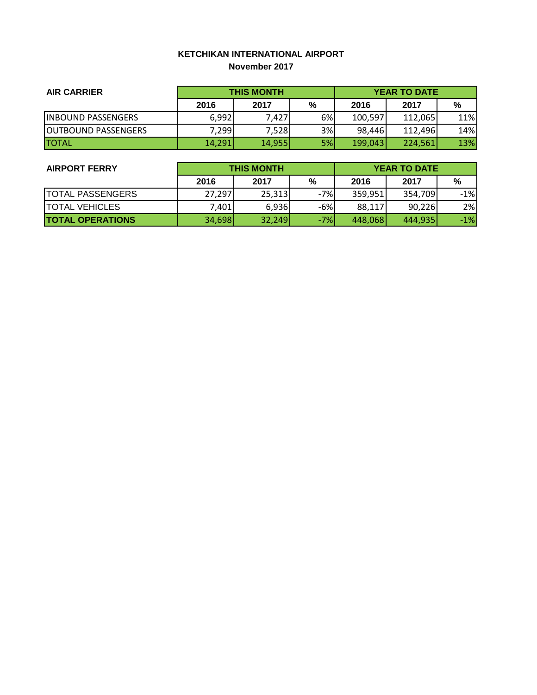#### **KETCHIKAN INTERNATIONAL AIRPORT November 2017**

| <b>AIR CARRIER</b>          | <b>THIS MONTH</b> |        |    | <b>YEAR TO DATE</b> |         |     |
|-----------------------------|-------------------|--------|----|---------------------|---------|-----|
|                             | 2016              | 2017   | %  | 2016                | 2017    | %   |
| <b>INBOUND PASSENGERS</b>   | 6,992             | 7,427  | 6% | 100,597             | 112,065 | 11% |
| <b>JOUTBOUND PASSENGERS</b> | 7,299             | 7,528  | 3% | 98.446              | 112.496 | 14% |
| <b>ITOTAL</b>               | 14,291            | 14,955 | 5% | 199,043             | 224,561 | 13% |

| <b>AIRPORT FERRY</b>    | <b>THIS MONTH</b> |        |       | <b>YEAR TO DATE</b> |         |       |  |
|-------------------------|-------------------|--------|-------|---------------------|---------|-------|--|
|                         | 2016              | 2017   | %     | 2016                | 2017    | %     |  |
| <b>TOTAL PASSENGERS</b> | 27,297            | 25,313 | $-7%$ | 359,951             | 354,709 | $-1%$ |  |
| <b>TOTAL VEHICLES</b>   | 7,401             | 6,936  | $-6%$ | 88,117              | 90,226  | 2%    |  |
| <b>TOTAL OPERATIONS</b> | 34,698            | 32,249 | $-7%$ | 448,068             | 444,935 | $-1%$ |  |